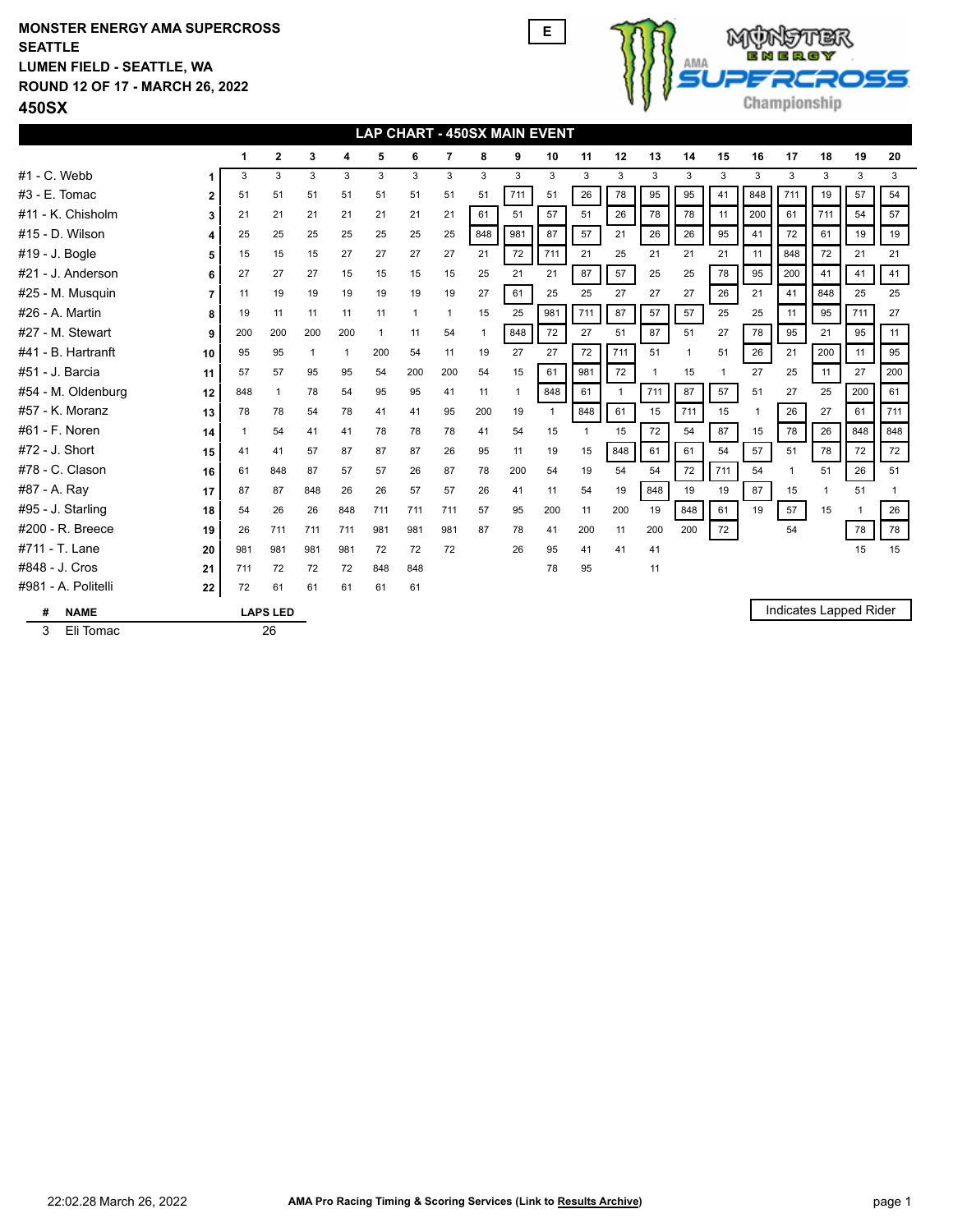## **450SX ROUND 12 OF 17 - MARCH 26, 2022 LUMEN FIELD - SEATTLE, WA SEATTLE MONSTER ENERGY AMA SUPERCROSS E**



|                     | <b>LAP CHART - 450SX MAIN EVENT</b> |     |     |              |              |              |              |     |     |     |              |              |              |              |              |     |     |             |              |                        |     |
|---------------------|-------------------------------------|-----|-----|--------------|--------------|--------------|--------------|-----|-----|-----|--------------|--------------|--------------|--------------|--------------|-----|-----|-------------|--------------|------------------------|-----|
|                     |                                     | 1   | 2   | 3            | 4            | 5            | 6            | 7   | 8   | 9   | 10           | 11           | 12           | 13           | 14           | 15  | 16  | 17          | 18           | 19                     | 20  |
| $#1$ - C. Webb      |                                     | 3   | 3   | 3            | 3            | 3            | 3            | 3   | 3   | 3   | 3            | 3            | 3            | 3            | 3            | 3   | 3   | 3           | 3            | 3                      | 3   |
| #3 - E. Tomac       | $\overline{2}$                      | 51  | 51  | 51           | 51           | 51           | 51           | 51  | 51  | 711 | 51           | 26           | 78           | 95           | 95           | 41  | 848 | 711         | 19           | 57                     | 54  |
| #11 - K. Chisholm   | 3                                   | 21  | 21  | 21           | 21           | 21           | 21           | 21  | 61  | 51  | 57           | 51           | 26           | 78           | 78           | 11  | 200 | 61          | 711          | 54                     | 57  |
| #15 - D. Wilson     | 4                                   | 25  | 25  | 25           | 25           | 25           | 25           | 25  | 848 | 981 | 87           | 57           | 21           | 26           | 26           | 95  | 41  | 72          | 61           | 19                     | 19  |
| #19 - J. Bogle      | 5                                   | 15  | 15  | 15           | 27           | 27           | 27           | 27  | 21  | 72  | 711          | 21           | 25           | 21           | 21           | 21  | 11  | 848         | 72           | 21                     | 21  |
| #21 - J. Anderson   | 6                                   | 27  | 27  | 27           | 15           | 15           | 15           | 15  | 25  | 21  | 21           | 87           | 57           | 25           | 25           | 78  | 95  | 200         | 41           | 41                     | 41  |
| #25 - M. Musquin    | 7                                   | 11  | 19  | 19           | 19           | 19           | 19           | 19  | 27  | 61  | 25           | 25           | 27           | 27           | 27           | 26  | 21  | 41          | 848          | 25                     | 25  |
| #26 - A. Martin     | 8                                   | 19  | 11  | 11           | 11           | 11           | $\mathbf{1}$ | 1   | 15  | 25  | 981          | 711          | 87           | 57           | 57           | 25  | 25  | 11          | 95           | 711                    | 27  |
| #27 - M. Stewart    | 9                                   | 200 | 200 | 200          | 200          | $\mathbf{1}$ | 11           | 54  |     | 848 | 72           | 27           | 51           | 87           | 51           | 27  | 78  | 95          | 21           | 95                     | 11  |
| #41 - B. Hartranft  | 10                                  | 95  | 95  | $\mathbf{1}$ | $\mathbf{1}$ | 200          | 54           | 11  | 19  | 27  | 27           | 72           | 711          | 51           | $\mathbf{1}$ | 51  | 26  | 21          | 200          | 11                     | 95  |
| #51 - J. Barcia     | 11                                  | 57  | 57  | 95           | 95           | 54           | 200          | 200 | 54  | 15  | 61           | 981          | 72           | $\mathbf{1}$ | 15           | 1   | 27  | 25          | 11           | 27                     | 200 |
| #54 - M. Oldenburg  | 12                                  | 848 | 1   | 78           | 54           | 95           | 95           | 41  | 11  | 1   | 848          | 61           | $\mathbf{1}$ | 711          | 87           | 57  | 51  | 27          | 25           | 200                    | 61  |
| #57 - K. Moranz     | 13                                  | 78  | 78  | 54           | 78           | 41           | 41           | 95  | 200 | 19  | $\mathbf{1}$ | 848          | 61           | 15           | 711          | 15  | 1   | 26          | 27           | 61                     | 711 |
| #61 - F. Noren      | 14                                  |     | 54  | 41           | 41           | 78           | 78           | 78  | 41  | 54  | 15           | $\mathbf{1}$ | 15           | 72           | 54           | 87  | 15  | 78          | 26           | 848                    | 848 |
| #72 - J. Short      | 15                                  | 41  | 41  | 57           | 87           | 87           | 87           | 26  | 95  | 11  | 19           | 15           | 848          | 61           | 61           | 54  | 57  | 51          | 78           | 72                     | 72  |
| #78 - C. Clason     | 16                                  | 61  | 848 | 87           | 57           | 57           | 26           | 87  | 78  | 200 | 54           | 19           | 54           | 54           | 72           | 711 | 54  | $\mathbf 1$ | 51           | 26                     | 51  |
| #87 - A. Ray        | 17                                  | 87  | 87  | 848          | 26           | 26           | 57           | 57  | 26  | 41  | 11           | 54           | 19           | 848          | 19           | 19  | 87  | 15          | $\mathbf{1}$ | 51                     | 1   |
| #95 - J. Starling   | 18                                  | 54  | 26  | 26           | 848          | 711          | 711          | 711 | 57  | 95  | 200          | 11           | 200          | 19           | 848          | 61  | 19  | 57          | 15           | $\mathbf{1}$           | 26  |
| #200 - R. Breece    | 19                                  | 26  | 711 | 711          | 711          | 981          | 981          | 981 | 87  | 78  | 41           | 200          | 11           | 200          | 200          | 72  |     | 54          |              | 78                     | 78  |
| #711 - T. Lane      | 20                                  | 981 | 981 | 981          | 981          | 72           | 72           | 72  |     | 26  | 95           | 41           | 41           | 41           |              |     |     |             |              | 15                     | 15  |
| #848 - J. Cros      | 21                                  | 711 | 72  | 72           | 72           | 848          | 848          |     |     |     | 78           | 95           |              | 11           |              |     |     |             |              |                        |     |
| #981 - A. Politelli | 22                                  | 72  | 61  | 61           | 61           | 61           | 61           |     |     |     |              |              |              |              |              |     |     |             |              |                        |     |
| #<br><b>NAME</b>    | <b>LAPS LED</b>                     |     |     |              |              |              |              |     |     |     |              |              |              |              |              |     |     |             |              | Indicates Lapped Rider |     |
| Eli Tomac<br>3      | 26                                  |     |     |              |              |              |              |     |     |     |              |              |              |              |              |     |     |             |              |                        |     |